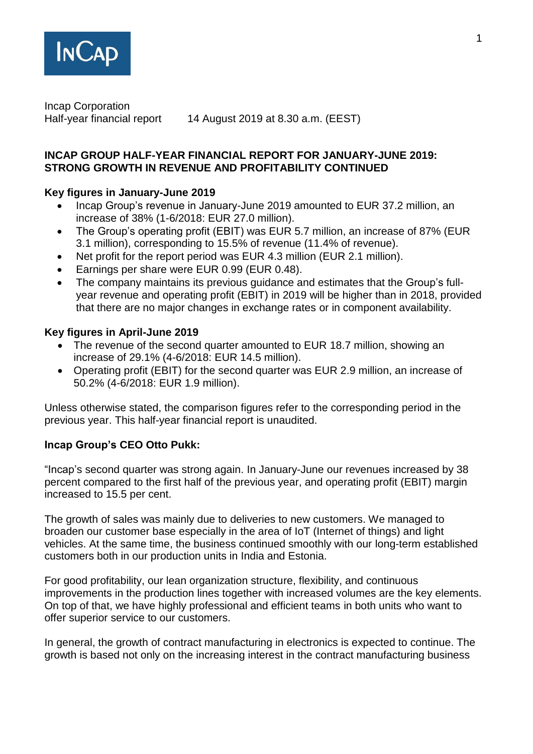

Incap Corporation

Half-year financial report 14 August 2019 at 8.30 a.m. (EEST)

# **INCAP GROUP HALF-YEAR FINANCIAL REPORT FOR JANUARY-JUNE 2019: STRONG GROWTH IN REVENUE AND PROFITABILITY CONTINUED**

# **Key figures in January-June 2019**

- Incap Group's revenue in January-June 2019 amounted to EUR 37.2 million, an increase of 38% (1-6/2018: EUR 27.0 million).
- The Group's operating profit (EBIT) was EUR 5.7 million, an increase of 87% (EUR 3.1 million), corresponding to 15.5% of revenue (11.4% of revenue).
- Net profit for the report period was EUR 4.3 million (EUR 2.1 million).
- Earnings per share were EUR 0.99 (EUR 0.48).
- The company maintains its previous guidance and estimates that the Group's fullyear revenue and operating profit (EBIT) in 2019 will be higher than in 2018, provided that there are no major changes in exchange rates or in component availability.

# **Key figures in April-June 2019**

- The revenue of the second quarter amounted to EUR 18.7 million, showing an increase of 29.1% (4-6/2018: EUR 14.5 million).
- Operating profit (EBIT) for the second quarter was EUR 2.9 million, an increase of 50.2% (4-6/2018: EUR 1.9 million).

Unless otherwise stated, the comparison figures refer to the corresponding period in the previous year. This half-year financial report is unaudited.

# **Incap Group's CEO Otto Pukk:**

"Incap's second quarter was strong again. In January-June our revenues increased by 38 percent compared to the first half of the previous year, and operating profit (EBIT) margin increased to 15.5 per cent.

The growth of sales was mainly due to deliveries to new customers. We managed to broaden our customer base especially in the area of IoT (Internet of things) and light vehicles. At the same time, the business continued smoothly with our long-term established customers both in our production units in India and Estonia.

For good profitability, our lean organization structure, flexibility, and continuous improvements in the production lines together with increased volumes are the key elements. On top of that, we have highly professional and efficient teams in both units who want to offer superior service to our customers.

In general, the growth of contract manufacturing in electronics is expected to continue. The growth is based not only on the increasing interest in the contract manufacturing business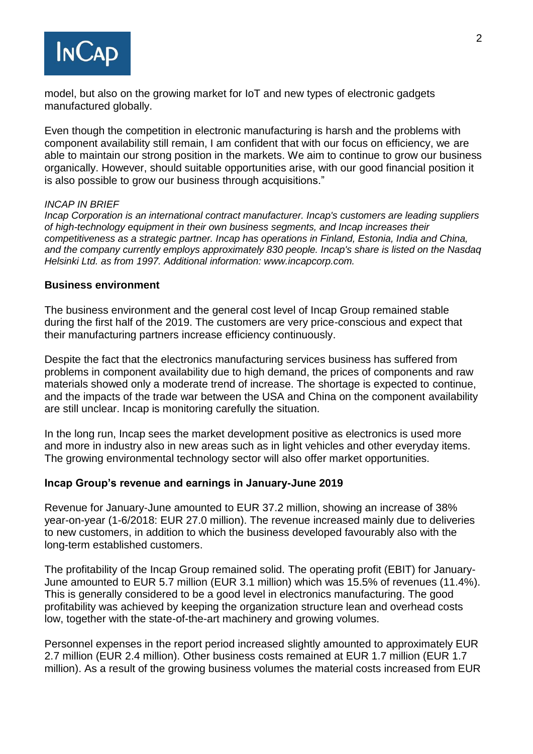

model, but also on the growing market for IoT and new types of electronic gadgets manufactured globally.

Even though the competition in electronic manufacturing is harsh and the problems with component availability still remain, I am confident that with our focus on efficiency, we are able to maintain our strong position in the markets. We aim to continue to grow our business organically. However, should suitable opportunities arise, with our good financial position it is also possible to grow our business through acquisitions."

#### *INCAP IN BRIEF*

*Incap Corporation is an international contract manufacturer. Incap's customers are leading suppliers of high-technology equipment in their own business segments, and Incap increases their competitiveness as a strategic partner. Incap has operations in Finland, Estonia, India and China, and the company currently employs approximately 830 people. Incap's share is listed on the Nasdaq Helsinki Ltd. as from 1997. Additional information: www.incapcorp.com.*

#### **Business environment**

The business environment and the general cost level of Incap Group remained stable during the first half of the 2019. The customers are very price-conscious and expect that their manufacturing partners increase efficiency continuously.

Despite the fact that the electronics manufacturing services business has suffered from problems in component availability due to high demand, the prices of components and raw materials showed only a moderate trend of increase. The shortage is expected to continue, and the impacts of the trade war between the USA and China on the component availability are still unclear. Incap is monitoring carefully the situation.

In the long run, Incap sees the market development positive as electronics is used more and more in industry also in new areas such as in light vehicles and other everyday items. The growing environmental technology sector will also offer market opportunities.

#### **Incap Group's revenue and earnings in January-June 2019**

Revenue for January-June amounted to EUR 37.2 million, showing an increase of 38% year-on-year (1-6/2018: EUR 27.0 million). The revenue increased mainly due to deliveries to new customers, in addition to which the business developed favourably also with the long-term established customers.

The profitability of the Incap Group remained solid. The operating profit (EBIT) for January-June amounted to EUR 5.7 million (EUR 3.1 million) which was 15.5% of revenues (11.4%). This is generally considered to be a good level in electronics manufacturing. The good profitability was achieved by keeping the organization structure lean and overhead costs low, together with the state-of-the-art machinery and growing volumes.

Personnel expenses in the report period increased slightly amounted to approximately EUR 2.7 million (EUR 2.4 million). Other business costs remained at EUR 1.7 million (EUR 1.7 million). As a result of the growing business volumes the material costs increased from EUR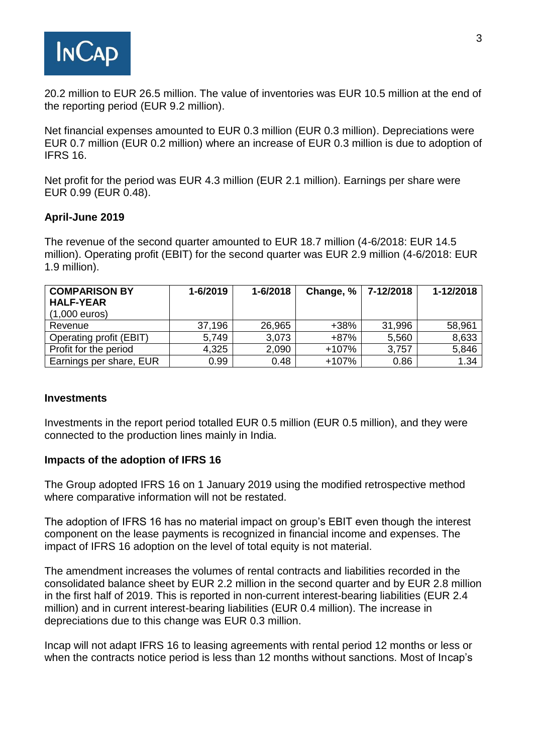

20.2 million to EUR 26.5 million. The value of inventories was EUR 10.5 million at the end of the reporting period (EUR 9.2 million).

Net financial expenses amounted to EUR 0.3 million (EUR 0.3 million). Depreciations were EUR 0.7 million (EUR 0.2 million) where an increase of EUR 0.3 million is due to adoption of IFRS 16.

Net profit for the period was EUR 4.3 million (EUR 2.1 million). Earnings per share were EUR 0.99 (EUR 0.48).

#### **April-June 2019**

The revenue of the second quarter amounted to EUR 18.7 million (4-6/2018: EUR 14.5 million). Operating profit (EBIT) for the second quarter was EUR 2.9 million (4-6/2018: EUR 1.9 million).

| <b>COMPARISON BY</b>    | 1-6/2019 | 1-6/2018 | Change, $%$ | 7-12/2018 | 1-12/2018 |
|-------------------------|----------|----------|-------------|-----------|-----------|
| <b>HALF-YEAR</b>        |          |          |             |           |           |
| $(1,000$ euros)         |          |          |             |           |           |
| Revenue                 | 37,196   | 26,965   | $+38%$      | 31,996    | 58,961    |
| Operating profit (EBIT) | 5,749    | 3,073    | $+87%$      | 5,560     | 8,633     |
| Profit for the period   | 4,325    | 2,090    | +107%       | 3,757     | 5,846     |
| Earnings per share, EUR | 0.99     | 0.48     | +107%       | 0.86      | 1.34      |

#### **Investments**

Investments in the report period totalled EUR 0.5 million (EUR 0.5 million), and they were connected to the production lines mainly in India.

## **Impacts of the adoption of IFRS 16**

The Group adopted IFRS 16 on 1 January 2019 using the modified retrospective method where comparative information will not be restated.

The adoption of IFRS 16 has no material impact on group's EBIT even though the interest component on the lease payments is recognized in financial income and expenses. The impact of IFRS 16 adoption on the level of total equity is not material.

The amendment increases the volumes of rental contracts and liabilities recorded in the consolidated balance sheet by EUR 2.2 million in the second quarter and by EUR 2.8 million in the first half of 2019. This is reported in non-current interest-bearing liabilities (EUR 2.4 million) and in current interest-bearing liabilities (EUR 0.4 million). The increase in depreciations due to this change was EUR 0.3 million.

Incap will not adapt IFRS 16 to leasing agreements with rental period 12 months or less or when the contracts notice period is less than 12 months without sanctions. Most of Incap's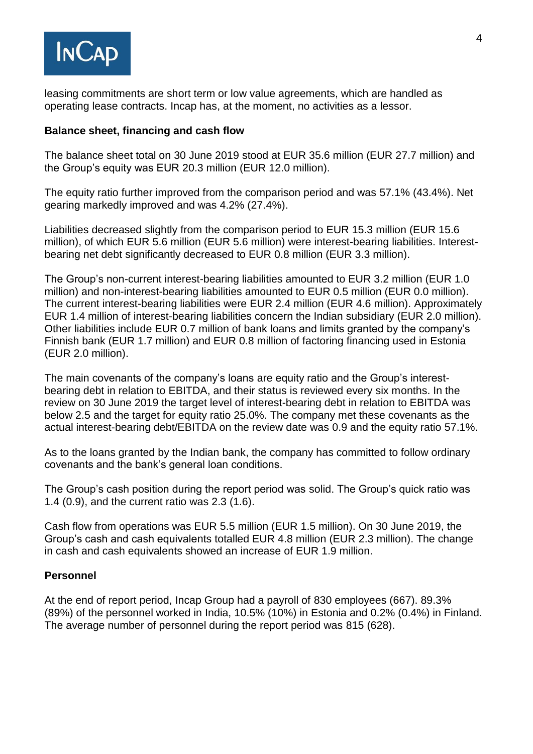

leasing commitments are short term or low value agreements, which are handled as operating lease contracts. Incap has, at the moment, no activities as a lessor.

# **Balance sheet, financing and cash flow**

The balance sheet total on 30 June 2019 stood at EUR 35.6 million (EUR 27.7 million) and the Group's equity was EUR 20.3 million (EUR 12.0 million).

The equity ratio further improved from the comparison period and was 57.1% (43.4%). Net gearing markedly improved and was 4.2% (27.4%).

Liabilities decreased slightly from the comparison period to EUR 15.3 million (EUR 15.6 million), of which EUR 5.6 million (EUR 5.6 million) were interest-bearing liabilities. Interestbearing net debt significantly decreased to EUR 0.8 million (EUR 3.3 million).

The Group's non-current interest-bearing liabilities amounted to EUR 3.2 million (EUR 1.0 million) and non-interest-bearing liabilities amounted to EUR 0.5 million (EUR 0.0 million). The current interest-bearing liabilities were EUR 2.4 million (EUR 4.6 million). Approximately EUR 1.4 million of interest-bearing liabilities concern the Indian subsidiary (EUR 2.0 million). Other liabilities include EUR 0.7 million of bank loans and limits granted by the company's Finnish bank (EUR 1.7 million) and EUR 0.8 million of factoring financing used in Estonia (EUR 2.0 million).

The main covenants of the company's loans are equity ratio and the Group's interestbearing debt in relation to EBITDA, and their status is reviewed every six months. In the review on 30 June 2019 the target level of interest-bearing debt in relation to EBITDA was below 2.5 and the target for equity ratio 25.0%. The company met these covenants as the actual interest-bearing debt/EBITDA on the review date was 0.9 and the equity ratio 57.1%.

As to the loans granted by the Indian bank, the company has committed to follow ordinary covenants and the bank's general loan conditions.

The Group's cash position during the report period was solid. The Group's quick ratio was 1.4 (0.9), and the current ratio was 2.3 (1.6).

Cash flow from operations was EUR 5.5 million (EUR 1.5 million). On 30 June 2019, the Group's cash and cash equivalents totalled EUR 4.8 million (EUR 2.3 million). The change in cash and cash equivalents showed an increase of EUR 1.9 million.

## **Personnel**

At the end of report period, Incap Group had a payroll of 830 employees (667). 89.3% (89%) of the personnel worked in India, 10.5% (10%) in Estonia and 0.2% (0.4%) in Finland. The average number of personnel during the report period was 815 (628).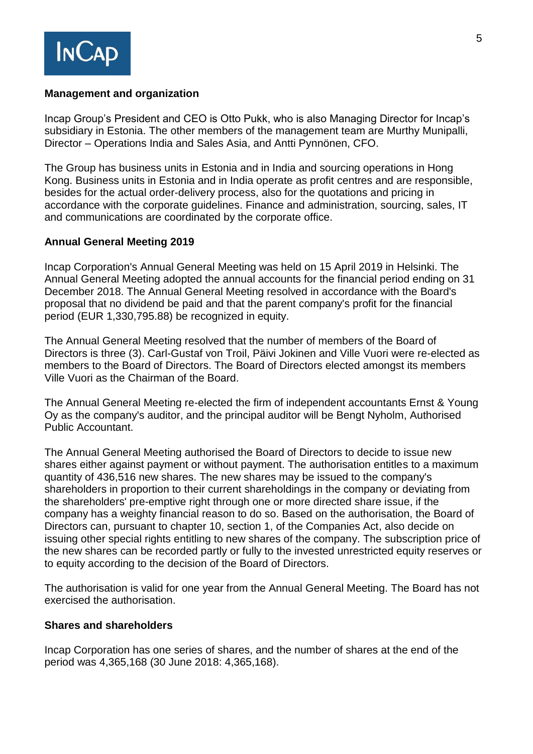

# **Management and organization**

Incap Group's President and CEO is Otto Pukk, who is also Managing Director for Incap's subsidiary in Estonia. The other members of the management team are Murthy Munipalli, Director – Operations India and Sales Asia, and Antti Pynnönen, CFO.

The Group has business units in Estonia and in India and sourcing operations in Hong Kong. Business units in Estonia and in India operate as profit centres and are responsible, besides for the actual order-delivery process, also for the quotations and pricing in accordance with the corporate guidelines. Finance and administration, sourcing, sales, IT and communications are coordinated by the corporate office.

# **Annual General Meeting 2019**

Incap Corporation's Annual General Meeting was held on 15 April 2019 in Helsinki. The Annual General Meeting adopted the annual accounts for the financial period ending on 31 December 2018. The Annual General Meeting resolved in accordance with the Board's proposal that no dividend be paid and that the parent company's profit for the financial period (EUR 1,330,795.88) be recognized in equity.

The Annual General Meeting resolved that the number of members of the Board of Directors is three (3). Carl-Gustaf von Troil, Päivi Jokinen and Ville Vuori were re-elected as members to the Board of Directors. The Board of Directors elected amongst its members Ville Vuori as the Chairman of the Board.

The Annual General Meeting re-elected the firm of independent accountants Ernst & Young Oy as the company's auditor, and the principal auditor will be Bengt Nyholm, Authorised Public Accountant.

The Annual General Meeting authorised the Board of Directors to decide to issue new shares either against payment or without payment. The authorisation entitles to a maximum quantity of 436,516 new shares. The new shares may be issued to the company's shareholders in proportion to their current shareholdings in the company or deviating from the shareholders' pre-emptive right through one or more directed share issue, if the company has a weighty financial reason to do so. Based on the authorisation, the Board of Directors can, pursuant to chapter 10, section 1, of the Companies Act, also decide on issuing other special rights entitling to new shares of the company. The subscription price of the new shares can be recorded partly or fully to the invested unrestricted equity reserves or to equity according to the decision of the Board of Directors.

The authorisation is valid for one year from the Annual General Meeting. The Board has not exercised the authorisation.

## **Shares and shareholders**

Incap Corporation has one series of shares, and the number of shares at the end of the period was 4,365,168 (30 June 2018: 4,365,168).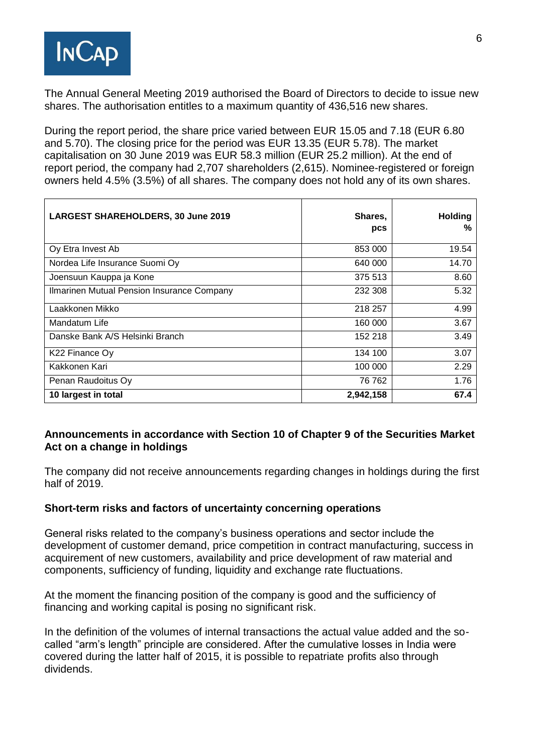

The Annual General Meeting 2019 authorised the Board of Directors to decide to issue new shares. The authorisation entitles to a maximum quantity of 436,516 new shares.

During the report period, the share price varied between EUR 15.05 and 7.18 (EUR 6.80 and 5.70). The closing price for the period was EUR 13.35 (EUR 5.78). The market capitalisation on 30 June 2019 was EUR 58.3 million (EUR 25.2 million). At the end of report period, the company had 2,707 shareholders (2,615). Nominee-registered or foreign owners held 4.5% (3.5%) of all shares. The company does not hold any of its own shares.

| <b>LARGEST SHAREHOLDERS, 30 June 2019</b>  | Shares,<br>pcs | <b>Holding</b><br>% |
|--------------------------------------------|----------------|---------------------|
| Oy Etra Invest Ab                          | 853 000        | 19.54               |
| Nordea Life Insurance Suomi Oy             | 640 000        | 14.70               |
| Joensuun Kauppa ja Kone                    | 375 513        | 8.60                |
| Ilmarinen Mutual Pension Insurance Company | 232 308        | 5.32                |
| Laakkonen Mikko                            | 218 257        | 4.99                |
| Mandatum Life                              | 160 000        | 3.67                |
| Danske Bank A/S Helsinki Branch            | 152 218        | 3.49                |
| K22 Finance Oy                             | 134 100        | 3.07                |
| Kakkonen Kari                              | 100 000        | 2.29                |
| Penan Raudoitus Oy                         | 76 762         | 1.76                |
| 10 largest in total                        | 2,942,158      | 67.4                |

# **Announcements in accordance with Section 10 of Chapter 9 of the Securities Market Act on a change in holdings**

The company did not receive announcements regarding changes in holdings during the first half of 2019.

## **Short-term risks and factors of uncertainty concerning operations**

General risks related to the company's business operations and sector include the development of customer demand, price competition in contract manufacturing, success in acquirement of new customers, availability and price development of raw material and components, sufficiency of funding, liquidity and exchange rate fluctuations.

At the moment the financing position of the company is good and the sufficiency of financing and working capital is posing no significant risk.

In the definition of the volumes of internal transactions the actual value added and the socalled "arm's length" principle are considered. After the cumulative losses in India were covered during the latter half of 2015, it is possible to repatriate profits also through dividends.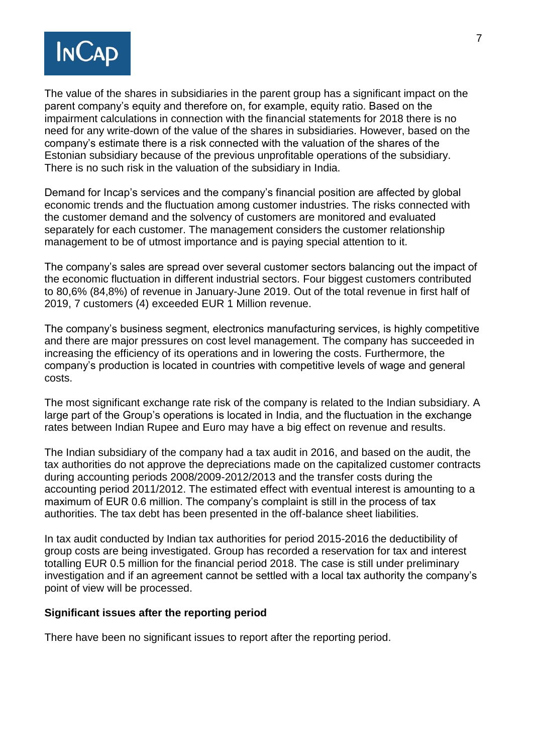

The value of the shares in subsidiaries in the parent group has a significant impact on the parent company's equity and therefore on, for example, equity ratio. Based on the impairment calculations in connection with the financial statements for 2018 there is no need for any write-down of the value of the shares in subsidiaries. However, based on the company's estimate there is a risk connected with the valuation of the shares of the Estonian subsidiary because of the previous unprofitable operations of the subsidiary. There is no such risk in the valuation of the subsidiary in India.

Demand for Incap's services and the company's financial position are affected by global economic trends and the fluctuation among customer industries. The risks connected with the customer demand and the solvency of customers are monitored and evaluated separately for each customer. The management considers the customer relationship management to be of utmost importance and is paying special attention to it.

The company's sales are spread over several customer sectors balancing out the impact of the economic fluctuation in different industrial sectors. Four biggest customers contributed to 80,6% (84,8%) of revenue in January-June 2019. Out of the total revenue in first half of 2019, 7 customers (4) exceeded EUR 1 Million revenue.

The company's business segment, electronics manufacturing services, is highly competitive and there are major pressures on cost level management. The company has succeeded in increasing the efficiency of its operations and in lowering the costs. Furthermore, the company's production is located in countries with competitive levels of wage and general costs.

The most significant exchange rate risk of the company is related to the Indian subsidiary. A large part of the Group's operations is located in India, and the fluctuation in the exchange rates between Indian Rupee and Euro may have a big effect on revenue and results.

The Indian subsidiary of the company had a tax audit in 2016, and based on the audit, the tax authorities do not approve the depreciations made on the capitalized customer contracts during accounting periods 2008/2009-2012/2013 and the transfer costs during the accounting period 2011/2012. The estimated effect with eventual interest is amounting to a maximum of EUR 0.6 million. The company's complaint is still in the process of tax authorities. The tax debt has been presented in the off-balance sheet liabilities.

In tax audit conducted by Indian tax authorities for period 2015-2016 the deductibility of group costs are being investigated. Group has recorded a reservation for tax and interest totalling EUR 0.5 million for the financial period 2018. The case is still under preliminary investigation and if an agreement cannot be settled with a local tax authority the company's point of view will be processed.

## **Significant issues after the reporting period**

There have been no significant issues to report after the reporting period.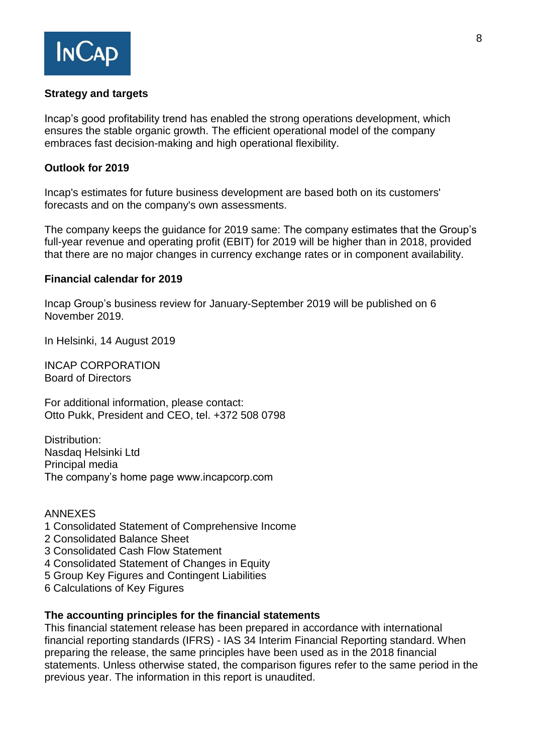

# **Strategy and targets**

Incap's good profitability trend has enabled the strong operations development, which ensures the stable organic growth. The efficient operational model of the company embraces fast decision-making and high operational flexibility.

# **Outlook for 2019**

Incap's estimates for future business development are based both on its customers' forecasts and on the company's own assessments.

The company keeps the guidance for 2019 same: The company estimates that the Group's full-year revenue and operating profit (EBIT) for 2019 will be higher than in 2018, provided that there are no major changes in currency exchange rates or in component availability.

# **Financial calendar for 2019**

Incap Group's business review for January-September 2019 will be published on 6 November 2019.

In Helsinki, 14 August 2019

INCAP CORPORATION Board of Directors

For additional information, please contact: Otto Pukk, President and CEO, tel. +372 508 0798

Distribution: Nasdaq Helsinki Ltd Principal media The company's home page www.incapcorp.com

## ANNEXES

- 1 Consolidated Statement of Comprehensive Income
- 2 Consolidated Balance Sheet
- 3 Consolidated Cash Flow Statement
- 4 Consolidated Statement of Changes in Equity
- 5 Group Key Figures and Contingent Liabilities
- 6 Calculations of Key Figures

## **The accounting principles for the financial statements**

This financial statement release has been prepared in accordance with international financial reporting standards (IFRS) - IAS 34 Interim Financial Reporting standard. When preparing the release, the same principles have been used as in the 2018 financial statements. Unless otherwise stated, the comparison figures refer to the same period in the previous year. The information in this report is unaudited.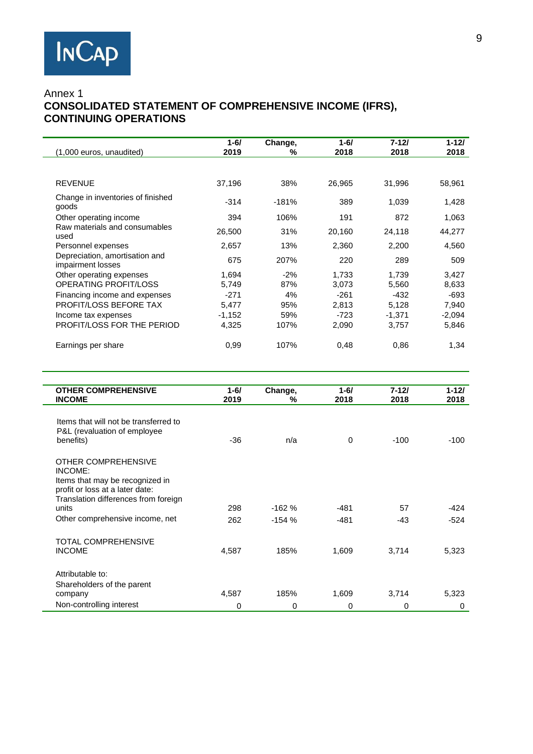# Annex 1  **CONSOLIDATED STATEMENT OF COMPREHENSIVE INCOME (IFRS), CONTINUING OPERATIONS**

|                                                     | $1 - 6/$ | Change, | $1 - 6/$ | $7 - 121$ | $1 - 121$ |
|-----------------------------------------------------|----------|---------|----------|-----------|-----------|
| (1,000 euros, unaudited)                            | 2019     | %       | 2018     | 2018      | 2018      |
| <b>REVENUE</b>                                      |          |         |          |           |           |
|                                                     | 37,196   | 38%     | 26,965   | 31,996    | 58,961    |
| Change in inventories of finished<br>goods          | $-314$   | $-181%$ | 389      | 1,039     | 1,428     |
| Other operating income                              | 394      | 106%    | 191      | 872       | 1,063     |
| Raw materials and consumables<br>used               | 26,500   | 31%     | 20,160   | 24,118    | 44,277    |
| Personnel expenses                                  | 2,657    | 13%     | 2,360    | 2,200     | 4,560     |
| Depreciation, amortisation and<br>impairment losses | 675      | 207%    | 220      | 289       | 509       |
| Other operating expenses                            | 1,694    | $-2%$   | 1,733    | 1,739     | 3,427     |
| OPERATING PROFIT/LOSS                               | 5,749    | 87%     | 3,073    | 5,560     | 8,633     |
| Financing income and expenses                       | $-271$   | 4%      | $-261$   | -432      | -693      |
| PROFIT/LOSS BEFORE TAX                              | 5.477    | 95%     | 2,813    | 5,128     | 7,940     |
| Income tax expenses                                 | $-1,152$ | 59%     | $-723$   | $-1,371$  | $-2,094$  |
| PROFIT/LOSS FOR THE PERIOD                          | 4,325    | 107%    | 2,090    | 3,757     | 5,846     |
| Earnings per share                                  | 0,99     | 107%    | 0,48     | 0.86      | 1,34      |

| <b>OTHER COMPREHENSIVE</b>            | $1 - 6/$ | Change,  | $1 - 6/$ | 7-12/  | $1 - 121$ |
|---------------------------------------|----------|----------|----------|--------|-----------|
| <b>INCOME</b>                         | 2019     | %        | 2018     | 2018   | 2018      |
|                                       |          |          |          |        |           |
| Items that will not be transferred to |          |          |          |        |           |
| P&L (revaluation of employee          |          |          |          |        |           |
| benefits)                             | $-36$    | n/a      | $\Omega$ | $-100$ | $-100$    |
|                                       |          |          |          |        |           |
| OTHER COMPREHENSIVE                   |          |          |          |        |           |
| INCOME:                               |          |          |          |        |           |
| Items that may be recognized in       |          |          |          |        |           |
| profit or loss at a later date:       |          |          |          |        |           |
| Translation differences from foreign  |          |          |          |        |           |
| units                                 | 298      | $-162%$  | -481     | 57     | -424      |
| Other comprehensive income, net       | 262      | $-154%$  | $-481$   | $-43$  | $-524$    |
|                                       |          |          |          |        |           |
| TOTAL COMPREHENSIVE                   |          |          |          |        |           |
| <b>INCOME</b>                         | 4,587    | 185%     | 1,609    | 3,714  | 5,323     |
|                                       |          |          |          |        |           |
| Attributable to:                      |          |          |          |        |           |
| Shareholders of the parent            |          |          |          |        |           |
| company                               | 4,587    | 185%     | 1,609    | 3,714  | 5,323     |
|                                       |          |          |          |        |           |
| Non-controlling interest              | 0        | $\Omega$ | 0        | 0      | $\Omega$  |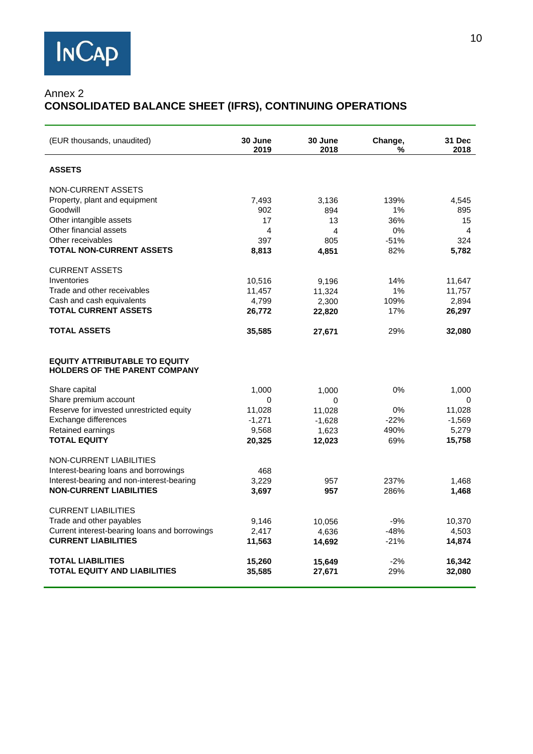# Annex 2 **CONSOLIDATED BALANCE SHEET (IFRS), CONTINUING OPERATIONS**

| (EUR thousands, unaudited)                                                   | 30 June<br>2019 | 30 June<br>2018 | Change,<br>% | 31 Dec<br>2018 |
|------------------------------------------------------------------------------|-----------------|-----------------|--------------|----------------|
| <b>ASSETS</b>                                                                |                 |                 |              |                |
| NON-CURRENT ASSETS                                                           |                 |                 |              |                |
| Property, plant and equipment                                                | 7,493           | 3,136           | 139%         | 4,545          |
| Goodwill                                                                     | 902             | 894             | 1%           | 895            |
| Other intangible assets                                                      | 17              | 13              | 36%          | 15             |
| Other financial assets                                                       | 4               | 4               | 0%           | 4              |
| Other receivables                                                            | 397             | 805             | $-51%$       | 324            |
| <b>TOTAL NON-CURRENT ASSETS</b>                                              | 8,813           | 4,851           | 82%          | 5,782          |
| <b>CURRENT ASSETS</b>                                                        |                 |                 |              |                |
| Inventories                                                                  | 10,516          | 9,196           | 14%          | 11,647         |
| Trade and other receivables                                                  | 11,457          | 11,324          | 1%           | 11,757         |
| Cash and cash equivalents                                                    | 4,799           | 2,300           | 109%         | 2,894          |
| <b>TOTAL CURRENT ASSETS</b>                                                  | 26,772          | 22,820          | 17%          | 26,297         |
| <b>TOTAL ASSETS</b>                                                          | 35,585          | 27,671          | 29%          | 32,080         |
| <b>EQUITY ATTRIBUTABLE TO EQUITY</b><br><b>HOLDERS OF THE PARENT COMPANY</b> |                 |                 |              |                |
| Share capital                                                                | 1,000           | 1,000           | 0%           | 1,000          |
| Share premium account                                                        | 0               | $\Omega$        |              | $\Omega$       |
| Reserve for invested unrestricted equity                                     | 11,028          | 11,028          | 0%           | 11,028         |
| Exchange differences                                                         | $-1,271$        | $-1,628$        | $-22%$       | $-1,569$       |
| Retained earnings                                                            | 9,568           | 1,623           | 490%         | 5,279          |
| <b>TOTAL EQUITY</b>                                                          | 20,325          | 12,023          | 69%          | 15,758         |
| <b>NON-CURRENT LIABILITIES</b>                                               |                 |                 |              |                |
| Interest-bearing loans and borrowings                                        | 468             |                 |              |                |
| Interest-bearing and non-interest-bearing                                    | 3,229           | 957             | 237%         | 1,468          |
| <b>NON-CURRENT LIABILITIES</b>                                               | 3,697           | 957             | 286%         | 1,468          |
| <b>CURRENT LIABILITIES</b>                                                   |                 |                 |              |                |
| Trade and other payables                                                     | 9,146           | 10,056          | $-9%$        | 10,370         |
| Current interest-bearing loans and borrowings                                | 2,417           | 4,636           | $-48%$       | 4,503          |
| <b>CURRENT LIABILITIES</b>                                                   | 11,563          | 14,692          | $-21%$       | 14,874         |
| <b>TOTAL LIABILITIES</b>                                                     | 15,260          | 15,649          | $-2%$        | 16,342         |
| <b>TOTAL EQUITY AND LIABILITIES</b>                                          | 35,585          | 27,671          | 29%          | 32,080         |
|                                                                              |                 |                 |              |                |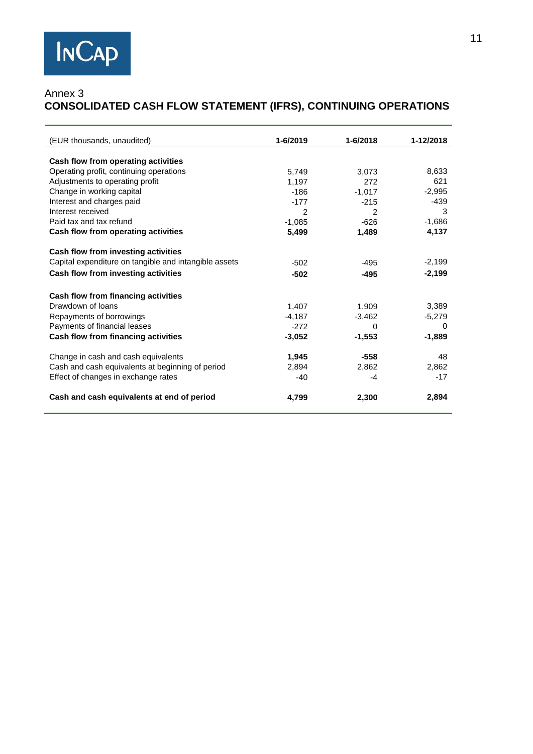# Annex 3 **CONSOLIDATED CASH FLOW STATEMENT (IFRS), CONTINUING OPERATIONS**

| (EUR thousands, unaudited)                            | 1-6/2019       | $1 - 6/2018$   | 1-12/2018 |
|-------------------------------------------------------|----------------|----------------|-----------|
|                                                       |                |                |           |
| Cash flow from operating activities                   |                |                |           |
| Operating profit, continuing operations               | 5,749          | 3.073          | 8,633     |
| Adjustments to operating profit                       | 1.197          | 272            | 621       |
| Change in working capital                             | $-186$         | $-1,017$       | $-2.995$  |
| Interest and charges paid                             | $-177$         | $-215$         | $-439$    |
| Interest received                                     | $\mathfrak{p}$ | $\mathfrak{p}$ | 3         |
| Paid tax and tax refund                               | $-1,085$       | $-626$         | $-1,686$  |
| Cash flow from operating activities                   | 5,499          | 1,489          | 4,137     |
| Cash flow from investing activities                   |                |                |           |
| Capital expenditure on tangible and intangible assets | $-502$         | $-495$         | $-2,199$  |
| Cash flow from investing activities                   | $-502$         | $-495$         | $-2,199$  |
|                                                       |                |                |           |
| Cash flow from financing activities                   |                |                |           |
| Drawdown of loans                                     | 1,407          | 1,909          | 3,389     |
| Repayments of borrowings                              | $-4,187$       | $-3,462$       | $-5,279$  |
| Payments of financial leases                          | $-272$         | $\Omega$       | $\Omega$  |
| Cash flow from financing activities                   | $-3,052$       | $-1,553$       | $-1,889$  |
| Change in cash and cash equivalents                   | 1,945          | $-558$         | 48        |
| Cash and cash equivalents at beginning of period      | 2,894          | 2,862          | 2,862     |
| Effect of changes in exchange rates                   | $-40$          | $-4$           | $-17$     |
|                                                       |                |                |           |
| Cash and cash equivalents at end of period            | 4,799          | 2,300          | 2,894     |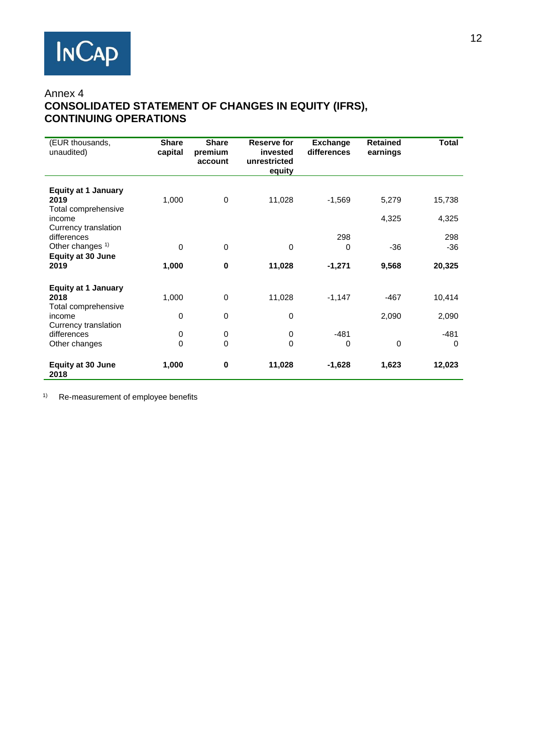# Annex 4 **CONSOLIDATED STATEMENT OF CHANGES IN EQUITY (IFRS), CONTINUING OPERATIONS**

| (EUR thousands,<br>unaudited)                                                                          | <b>Share</b><br>capital | <b>Share</b><br>premium<br>account | Reserve for<br>invested<br>unrestricted<br>equity | <b>Exchange</b><br>differences | <b>Retained</b><br>earnings | Total                  |
|--------------------------------------------------------------------------------------------------------|-------------------------|------------------------------------|---------------------------------------------------|--------------------------------|-----------------------------|------------------------|
| <b>Equity at 1 January</b><br>2019<br>Total comprehensive<br>income                                    | 1,000                   | 0                                  | 11,028                                            | $-1,569$                       | 5,279<br>4,325              | 15,738<br>4,325        |
| Currency translation<br>differences<br>Other changes <sup>1)</sup><br><b>Equity at 30 June</b><br>2019 | 0<br>1,000              | $\Omega$<br>$\mathbf 0$            | 0<br>11,028                                       | 298<br>0<br>$-1,271$           | $-36$<br>9,568              | 298<br>$-36$<br>20,325 |
| <b>Equity at 1 January</b><br>2018<br>Total comprehensive<br>income                                    | 1,000<br>0              | $\mathbf 0$<br>$\mathbf 0$         | 11,028<br>0                                       | $-1,147$                       | $-467$<br>2,090             | 10,414<br>2,090        |
| Currency translation<br>differences<br>Other changes                                                   | 0<br>$\Omega$           | 0<br>$\Omega$                      | 0<br>0                                            | $-481$<br>$\Omega$             | $\mathbf 0$                 | $-481$<br>$\Omega$     |
| <b>Equity at 30 June</b><br>2018                                                                       | 1,000                   | $\bf{0}$                           | 11,028                                            | $-1,628$                       | 1,623                       | 12,023                 |

1) Re-measurement of employee benefits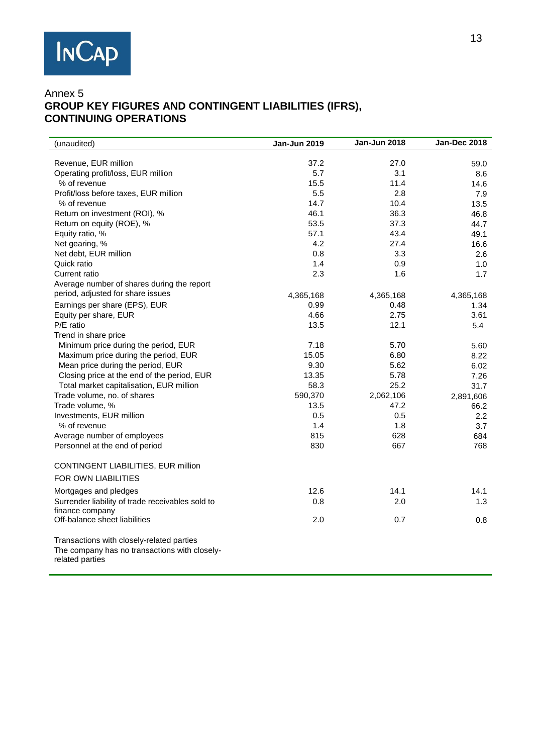

# Annex 5 **GROUP KEY FIGURES AND CONTINGENT LIABILITIES (IFRS), CONTINUING OPERATIONS**

| (unaudited)                                      | Jan-Jun 2019 | Jan-Jun 2018 | <b>Jan-Dec 2018</b> |
|--------------------------------------------------|--------------|--------------|---------------------|
|                                                  |              |              |                     |
| Revenue, EUR million                             | 37.2         | 27.0         | 59.0                |
| Operating profit/loss, EUR million               | 5.7          | 3.1          | 8.6                 |
| % of revenue                                     | 15.5         | 11.4         | 14.6                |
| Profit/loss before taxes, EUR million            | 5.5          | 2.8          | 7.9                 |
| % of revenue                                     | 14.7         | 10.4         | 13.5                |
| Return on investment (ROI), %                    | 46.1         | 36.3         | 46.8                |
| Return on equity (ROE), %                        | 53.5         | 37.3         | 44.7                |
| Equity ratio, %                                  | 57.1         | 43.4         | 49.1                |
| Net gearing, %                                   | 4.2          | 27.4         | 16.6                |
| Net debt, EUR million                            | 0.8          | 3.3          | 2.6                 |
| Quick ratio                                      | 1.4          | 0.9          | 1.0                 |
| Current ratio                                    | 2.3          | 1.6          | 1.7                 |
| Average number of shares during the report       |              |              |                     |
| period, adjusted for share issues                | 4,365,168    | 4,365,168    | 4,365,168           |
| Earnings per share (EPS), EUR                    | 0.99         | 0.48         | 1.34                |
| Equity per share, EUR                            | 4.66         | 2.75         | 3.61                |
| P/E ratio                                        | 13.5         | 12.1         | 5.4                 |
| Trend in share price                             |              |              |                     |
| Minimum price during the period, EUR             | 7.18         | 5.70         | 5.60                |
| Maximum price during the period, EUR             | 15.05        | 6.80         | 8.22                |
| Mean price during the period, EUR                | 9.30         | 5.62         | 6.02                |
| Closing price at the end of the period, EUR      | 13.35        | 5.78         | 7.26                |
| Total market capitalisation, EUR million         | 58.3         | 25.2         | 31.7                |
| Trade volume, no. of shares                      | 590,370      | 2,062,106    | 2,891,606           |
| Trade volume, %                                  | 13.5         | 47.2         | 66.2                |
| Investments, EUR million                         | 0.5          | 0.5          | 2.2                 |
| % of revenue                                     | 1.4          | 1.8          | 3.7                 |
| Average number of employees                      | 815          | 628          | 684                 |
| Personnel at the end of period                   | 830          | 667          | 768                 |
| CONTINGENT LIABILITIES, EUR million              |              |              |                     |
| <b>FOR OWN LIABILITIES</b>                       |              |              |                     |
| Mortgages and pledges                            | 12.6         | 14.1         | 14.1                |
| Surrender liability of trade receivables sold to | 0.8          | 2.0          | 1.3                 |
| finance company                                  |              |              |                     |
| Off-balance sheet liabilities                    | 2.0          | 0.7          | 0.8                 |
| Transactions with closely-related parties        |              |              |                     |
| The company has no transactions with closely-    |              |              |                     |
| related parties                                  |              |              |                     |